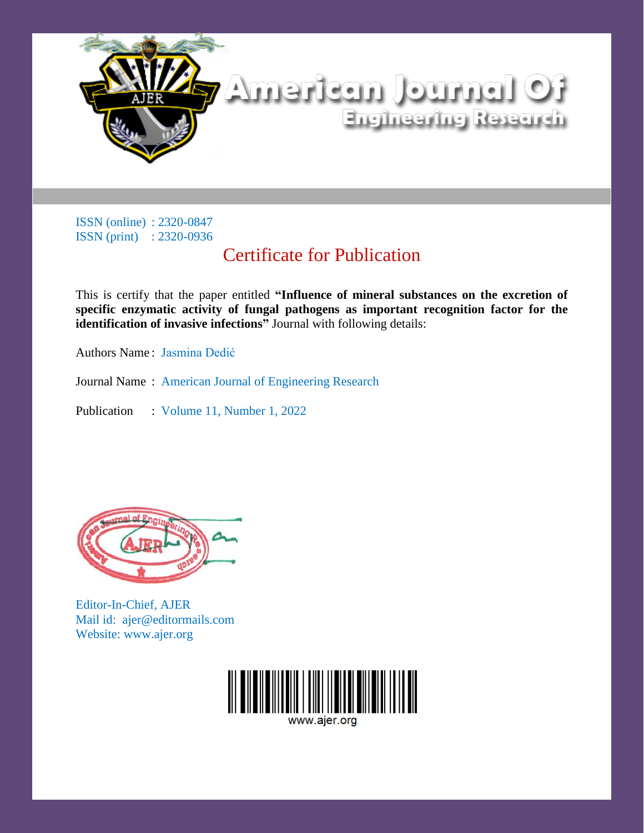

## Certificate for Publication

This is certify that the paper entitled **"Influence of mineral substances on the excretion of specific enzymatic activity of fungal pathogens as important recognition factor for the identification of invasive infections"** Journal with following details:

Authors Name: Jasmina Dedić

Journal Name : American Journal of Engineering Research

Publication : Volume 11, Number 1, 2022



Editor-In-Chief, AJER Mail id: ajer@editormails.com Website: www.ajer.org

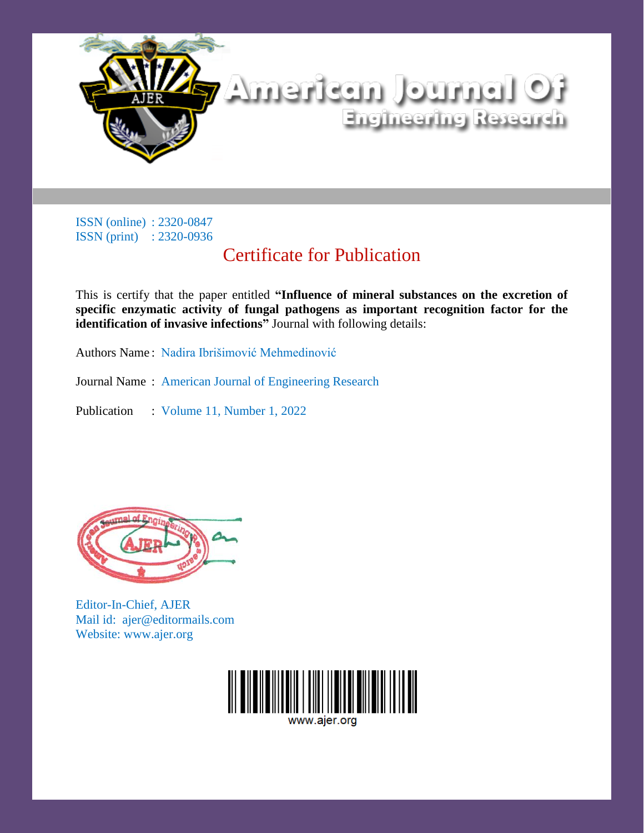

# Certificate for Publication

This is certify that the paper entitled **"Influence of mineral substances on the excretion of specific enzymatic activity of fungal pathogens as important recognition factor for the identification of invasive infections"** Journal with following details:

Authors Name : Nadira Ibrišimović Mehmedinović

Journal Name : American Journal of Engineering Research

Publication : Volume 11, Number 1, 2022



Editor-In-Chief, AJER Mail id: ajer@editormails.com Website: www.ajer.org

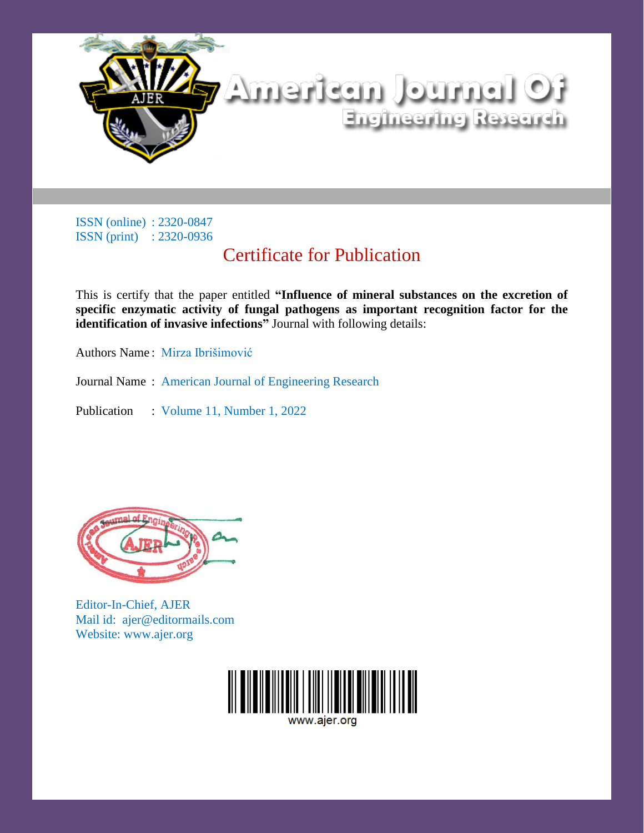

# Certificate for Publication

This is certify that the paper entitled **"Influence of mineral substances on the excretion of specific enzymatic activity of fungal pathogens as important recognition factor for the identification of invasive infections"** Journal with following details:

Authors Name : Mirza Ibrišimović

Journal Name : American Journal of Engineering Research

Publication : Volume 11, Number 1, 2022



Editor-In-Chief, AJER Mail id: ajer@editormails.com Website: www.ajer.org

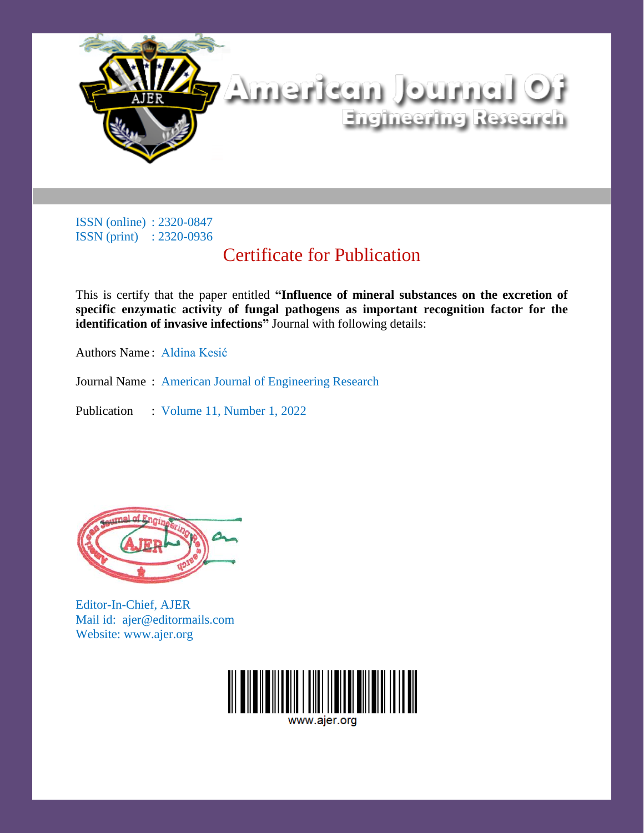

# Certificate for Publication

This is certify that the paper entitled **"Influence of mineral substances on the excretion of specific enzymatic activity of fungal pathogens as important recognition factor for the identification of invasive infections"** Journal with following details:

Authors Name : Aldina Kesić

Journal Name : American Journal of Engineering Research

Publication : Volume 11, Number 1, 2022



Editor-In-Chief, AJER Mail id: ajer@editormails.com Website: www.ajer.org

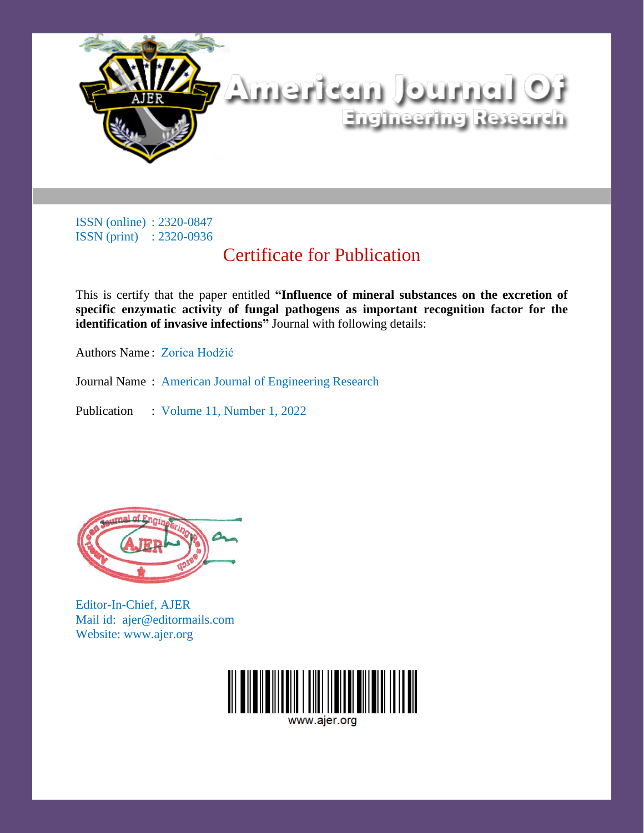

# Certificate for Publication

This is certify that the paper entitled **"Influence of mineral substances on the excretion of specific enzymatic activity of fungal pathogens as important recognition factor for the identification of invasive infections"** Journal with following details:

Authors Name : Zorica Hodžić

Journal Name : American Journal of Engineering Research

Publication : Volume 11, Number 1, 2022



Editor-In-Chief, AJER Mail id: ajer@editormails.com Website: www.ajer.org